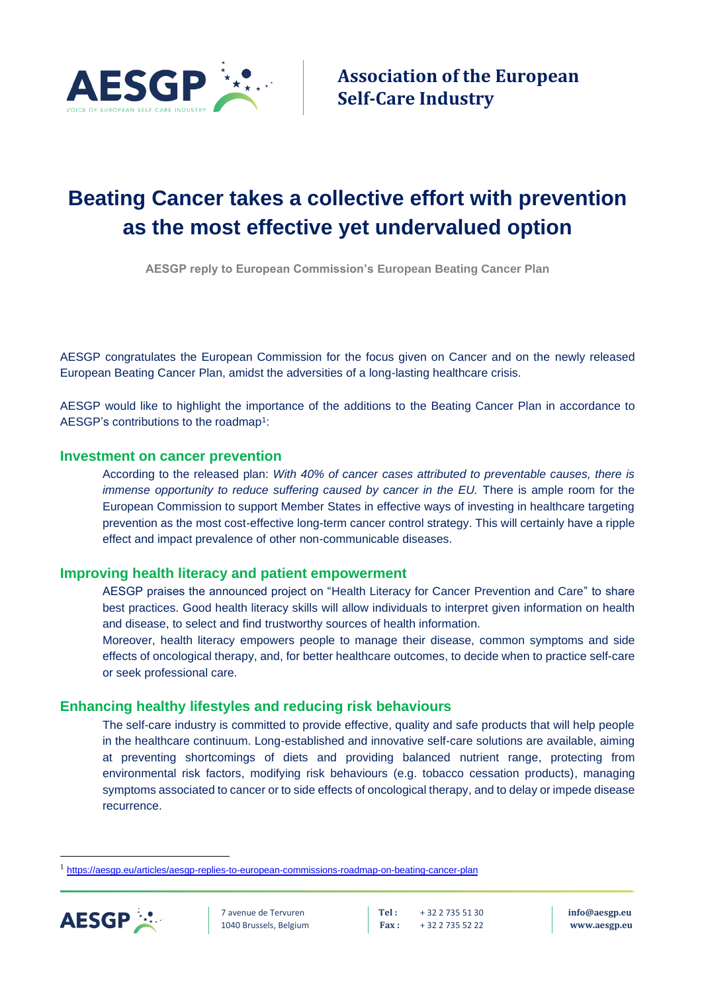

**Association of the European Self-Care Industry**

## **Beating Cancer takes a collective effort with prevention as the most effective yet undervalued option**

**AESGP reply to European Commission's European Beating Cancer Plan**

AESGP congratulates the European Commission for the focus given on Cancer and on the newly released European Beating Cancer Plan, amidst the adversities of a long-lasting healthcare crisis.

AESGP would like to highlight the importance of the additions to the Beating Cancer Plan in accordance to AESGP's contributions to the roadmap<sup>1</sup>:

## **Investment on cancer prevention**

According to the released plan: *With 40% of cancer cases attributed to preventable causes, there is immense opportunity to reduce suffering caused by cancer in the EU.* There is ample room for the European Commission to support Member States in effective ways of investing in healthcare targeting prevention as the most cost-effective long-term cancer control strategy. This will certainly have a ripple effect and impact prevalence of other non-communicable diseases.

## **Improving health literacy and patient empowerment**

AESGP praises the announced project on "Health Literacy for Cancer Prevention and Care" to share best practices. Good health literacy skills will allow individuals to interpret given information on health and disease, to select and find trustworthy sources of health information.

Moreover, health literacy empowers people to manage their disease, common symptoms and side effects of oncological therapy, and, for better healthcare outcomes, to decide when to practice self-care or seek professional care.

## **Enhancing healthy lifestyles and reducing risk behaviours**

The self-care industry is committed to provide effective, quality and safe products that will help people in the healthcare continuum. Long-established and innovative self-care solutions are available, aiming at preventing shortcomings of diets and providing balanced nutrient range, protecting from environmental risk factors, modifying risk behaviours (e.g. tobacco cessation products), managing symptoms associated to cancer or to side effects of oncological therapy, and to delay or impede disease recurrence.

<sup>&</sup>lt;sup>1</sup> <https://aesgp.eu/articles/aesgp-replies-to-european-commissions-roadmap-on-beating-cancer-plan>



7 avenue de Tervuren **Tel :** + 32 2 735 51 30 **[info@aesgp.eu](mailto:info@aesgp.eu)** 1040 Brussels, Belgium **Fax :** + 32 2 735 52 22 **[www.aesgp.eu](http://www.aesgp.eu/)**